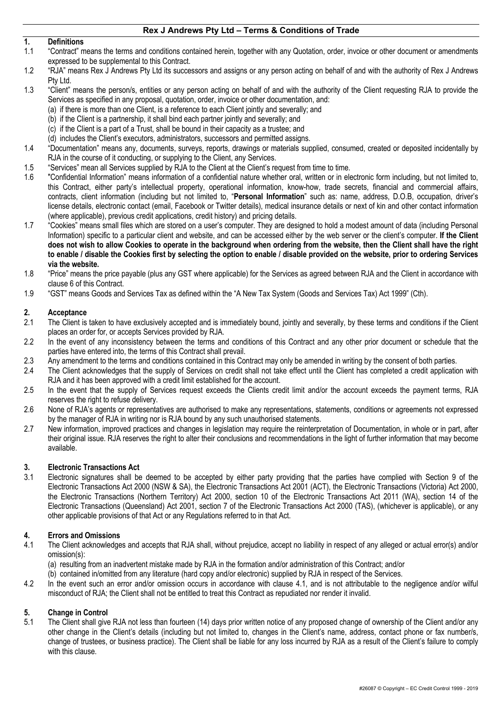#### **1. Definitions**

- 1.1 "Contract" means the terms and conditions contained herein, together with any Quotation, order, invoice or other document or amendments expressed to be supplemental to this Contract.
- 1.2 "RJA" means Rex J Andrews Pty Ltd its successors and assigns or any person acting on behalf of and with the authority of Rex J Andrews Pty Ltd.
- 1.3 "Client" means the person/s, entities or any person acting on behalf of and with the authority of the Client requesting RJA to provide the Services as specified in any proposal, quotation, order, invoice or other documentation, and:
	- (a) if there is more than one Client, is a reference to each Client jointly and severally; and
	- (b) if the Client is a partnership, it shall bind each partner jointly and severally; and
	- (c) if the Client is a part of a Trust, shall be bound in their capacity as a trustee; and
	- (d) includes the Client's executors, administrators, successors and permitted assigns.
- 1.4 "Documentation" means any, documents, surveys, reports, drawings or materials supplied, consumed, created or deposited incidentally by RJA in the course of it conducting, or supplying to the Client, any Services.
- 1.5 "Services" mean all Services supplied by RJA to the Client at the Client's request from time to time.
- 1.6 "Confidential Information" means information of a confidential nature whether oral, written or in electronic form including, but not limited to, this Contract, either party's intellectual property, operational information, know-how, trade secrets, financial and commercial affairs, contracts, client information (including but not limited to, "**Personal Information**" such as: name, address, D.O.B, occupation, driver's license details, electronic contact (email, Facebook or Twitter details), medical insurance details or next of kin and other contact information (where applicable), previous credit applications, credit history) and pricing details.
- 1.7 "Cookies" means small files which are stored on a user's computer. They are designed to hold a modest amount of data (including Personal Information) specific to a particular client and website, and can be accessed either by the web server or the client's computer. **If the Client does not wish to allow Cookies to operate in the background when ordering from the website, then the Client shall have the right to enable / disable the Cookies first by selecting the option to enable / disable provided on the website, prior to ordering Services via the website.**
- 1.8 "Price" means the price payable (plus any GST where applicable) for the Services as agreed between RJA and the Client in accordance with clause 6 of this Contract.
- 1.9 "GST" means Goods and Services Tax as defined within the "A New Tax System (Goods and Services Tax) Act 1999" (Cth).

#### **2. Acceptance**

- 2.1 The Client is taken to have exclusively accepted and is immediately bound, jointly and severally, by these terms and conditions if the Client places an order for, or accepts Services provided by RJA.
- 2.2 In the event of any inconsistency between the terms and conditions of this Contract and any other prior document or schedule that the parties have entered into, the terms of this Contract shall prevail.
- 2.3 Any amendment to the terms and conditions contained in this Contract may only be amended in writing by the consent of both parties.
- 2.4 The Client acknowledges that the supply of Services on credit shall not take effect until the Client has completed a credit application with RJA and it has been approved with a credit limit established for the account.
- 2.5 In the event that the supply of Services request exceeds the Clients credit limit and/or the account exceeds the payment terms, RJA reserves the right to refuse delivery.
- 2.6 None of RJA's agents or representatives are authorised to make any representations, statements, conditions or agreements not expressed by the manager of RJA in writing nor is RJA bound by any such unauthorised statements.
- 2.7 New information, improved practices and changes in legislation may require the reinterpretation of Documentation, in whole or in part, after their original issue. RJA reserves the right to alter their conclusions and recommendations in the light of further information that may become available.

# **3. Electronic Transactions Act**

Electronic signatures shall be deemed to be accepted by either party providing that the parties have complied with Section 9 of the Electronic Transactions Act 2000 (NSW & SA), the Electronic Transactions Act 2001 (ACT), the Electronic Transactions (Victoria) Act 2000, the Electronic Transactions (Northern Territory) Act 2000, section 10 of the Electronic Transactions Act 2011 (WA), section 14 of the Electronic Transactions (Queensland) Act 2001, section 7 of the Electronic Transactions Act 2000 (TAS), (whichever is applicable), or any other applicable provisions of that Act or any Regulations referred to in that Act.

# **4. Errors and Omissions**

- 4.1 The Client acknowledges and accepts that RJA shall, without prejudice, accept no liability in respect of any alleged or actual error(s) and/or omission(s):
	- (a) resulting from an inadvertent mistake made by RJA in the formation and/or administration of this Contract; and/or
	- (b) contained in/omitted from any literature (hard copy and/or electronic) supplied by RJA in respect of the Services.
- 4.2 In the event such an error and/or omission occurs in accordance with clause 4.1, and is not attributable to the negligence and/or wilful misconduct of RJA; the Client shall not be entitled to treat this Contract as repudiated nor render it invalid.

# **5. Change in Control**

5.1 The Client shall give RJA not less than fourteen (14) days prior written notice of any proposed change of ownership of the Client and/or any other change in the Client's details (including but not limited to, changes in the Client's name, address, contact phone or fax number/s, change of trustees, or business practice). The Client shall be liable for any loss incurred by RJA as a result of the Client's failure to comply with this clause.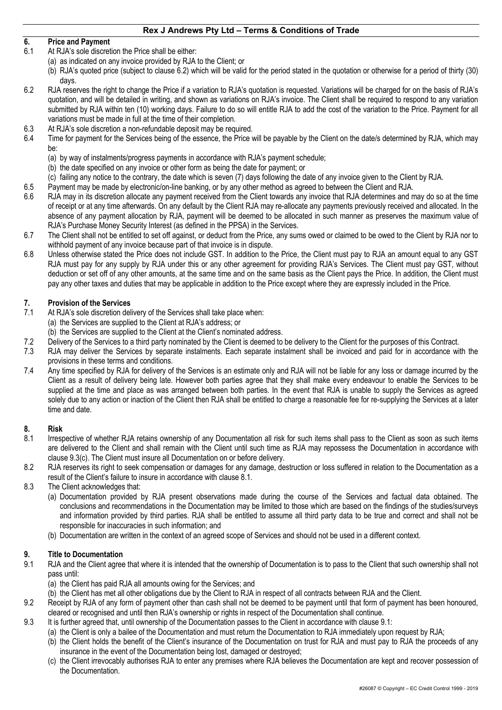# **6. Price and Payment**

- 6.1 At RJA's sole discretion the Price shall be either:
	- (a) as indicated on any invoice provided by RJA to the Client; or
	- (b) RJA's quoted price (subject to clause 6.2) which will be valid for the period stated in the quotation or otherwise for a period of thirty (30) days.
- 6.2 RJA reserves the right to change the Price if a variation to RJA's quotation is requested. Variations will be charged for on the basis of RJA's quotation, and will be detailed in writing, and shown as variations on RJA's invoice. The Client shall be required to respond to any variation submitted by RJA within ten (10) working days. Failure to do so will entitle RJA to add the cost of the variation to the Price. Payment for all variations must be made in full at the time of their completion.
- 6.3 At RJA's sole discretion a non-refundable deposit may be required.
- 6.4 Time for payment for the Services being of the essence, the Price will be payable by the Client on the date/s determined by RJA, which may be:
	- (a) by way of instalments/progress payments in accordance with RJA's payment schedule;
	- (b) the date specified on any invoice or other form as being the date for payment; or
	- (c) failing any notice to the contrary, the date which is seven (7) days following the date of any invoice given to the Client by RJA.
- 6.5 Payment may be made by electronic/on-line banking, or by any other method as agreed to between the Client and RJA.
- 6.6 RJA may in its discretion allocate any payment received from the Client towards any invoice that RJA determines and may do so at the time of receipt or at any time afterwards. On any default by the Client RJA may re-allocate any payments previously received and allocated. In the absence of any payment allocation by RJA, payment will be deemed to be allocated in such manner as preserves the maximum value of RJA's Purchase Money Security Interest (as defined in the PPSA) in the Services.
- 6.7 The Client shall not be entitled to set off against, or deduct from the Price, any sums owed or claimed to be owed to the Client by RJA nor to withhold payment of any invoice because part of that invoice is in dispute.
- 6.8 Unless otherwise stated the Price does not include GST. In addition to the Price, the Client must pay to RJA an amount equal to any GST RJA must pay for any supply by RJA under this or any other agreement for providing RJA's Services. The Client must pay GST, without deduction or set off of any other amounts, at the same time and on the same basis as the Client pays the Price. In addition, the Client must pay any other taxes and duties that may be applicable in addition to the Price except where they are expressly included in the Price.

# **7. Provision of the Services**

- 7.1 At RJA's sole discretion delivery of the Services shall take place when:
	- (a) the Services are supplied to the Client at RJA's address; or
	- (b) the Services are supplied to the Client at the Client's nominated address.
- 7.2 Delivery of the Services to a third party nominated by the Client is deemed to be delivery to the Client for the purposes of this Contract.
- 7.3 RJA may deliver the Services by separate instalments. Each separate instalment shall be invoiced and paid for in accordance with the provisions in these terms and conditions.
- 7.4 Any time specified by RJA for delivery of the Services is an estimate only and RJA will not be liable for any loss or damage incurred by the Client as a result of delivery being late. However both parties agree that they shall make every endeavour to enable the Services to be supplied at the time and place as was arranged between both parties. In the event that RJA is unable to supply the Services as agreed solely due to any action or inaction of the Client then RJA shall be entitled to charge a reasonable fee for re-supplying the Services at a later time and date.

# **8. Risk**

- 8.1 Irrespective of whether RJA retains ownership of any Documentation all risk for such items shall pass to the Client as soon as such items are delivered to the Client and shall remain with the Client until such time as RJA may repossess the Documentation in accordance with clause 9.3(c). The Client must insure all Documentation on or before delivery.
- 8.2 RJA reserves its right to seek compensation or damages for any damage, destruction or loss suffered in relation to the Documentation as a result of the Client's failure to insure in accordance with clause 8.1.

# 8.3 The Client acknowledges that:

- (a) Documentation provided by RJA present observations made during the course of the Services and factual data obtained. The conclusions and recommendations in the Documentation may be limited to those which are based on the findings of the studies/surveys and information provided by third parties. RJA shall be entitled to assume all third party data to be true and correct and shall not be responsible for inaccuracies in such information; and
- (b) Documentation are written in the context of an agreed scope of Services and should not be used in a different context.

# **9. Title to Documentation**

- 9.1 RJA and the Client agree that where it is intended that the ownership of Documentation is to pass to the Client that such ownership shall not pass until:
	- (a) the Client has paid RJA all amounts owing for the Services; and
	- (b) the Client has met all other obligations due by the Client to RJA in respect of all contracts between RJA and the Client.
- 9.2 Receipt by RJA of any form of payment other than cash shall not be deemed to be payment until that form of payment has been honoured, cleared or recognised and until then RJA's ownership or rights in respect of the Documentation shall continue.
- 9.3 It is further agreed that, until ownership of the Documentation passes to the Client in accordance with clause 9.1:
	- (a) the Client is only a bailee of the Documentation and must return the Documentation to RJA immediately upon request by RJA;
	- (b) the Client holds the benefit of the Client's insurance of the Documentation on trust for RJA and must pay to RJA the proceeds of any insurance in the event of the Documentation being lost, damaged or destroyed;
	- (c) the Client irrevocably authorises RJA to enter any premises where RJA believes the Documentation are kept and recover possession of the Documentation.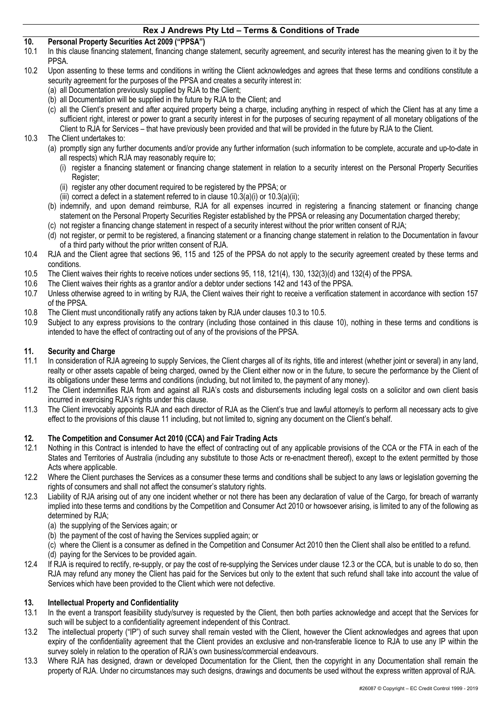# **10. Personal Property Securities Act 2009 ("PPSA")**

- In this clause financing statement, financing change statement, security agreement, and security interest has the meaning given to it by the PPSA.
- 10.2 Upon assenting to these terms and conditions in writing the Client acknowledges and agrees that these terms and conditions constitute a security agreement for the purposes of the PPSA and creates a security interest in:
	- (a) all Documentation previously supplied by RJA to the Client;
	- (b) all Documentation will be supplied in the future by RJA to the Client; and
	- (c) all the Client's present and after acquired property being a charge, including anything in respect of which the Client has at any time a sufficient right, interest or power to grant a security interest in for the purposes of securing repayment of all monetary obligations of the Client to RJA for Services – that have previously been provided and that will be provided in the future by RJA to the Client.

# 10.3 The Client undertakes to:

- (a) promptly sign any further documents and/or provide any further information (such information to be complete, accurate and up-to-date in all respects) which RJA may reasonably require to;
	- (i) register a financing statement or financing change statement in relation to a security interest on the Personal Property Securities Register;
	- (ii) register any other document required to be registered by the PPSA; or
	- (iii) correct a defect in a statement referred to in clause 10.3(a)(i) or 10.3(a)(ii);
- (b) indemnify, and upon demand reimburse, RJA for all expenses incurred in registering a financing statement or financing change statement on the Personal Property Securities Register established by the PPSA or releasing any Documentation charged thereby;
- (c) not register a financing change statement in respect of a security interest without the prior written consent of RJA;
- (d) not register, or permit to be registered, a financing statement or a financing change statement in relation to the Documentation in favour of a third party without the prior written consent of RJA.
- 10.4 RJA and the Client agree that sections 96, 115 and 125 of the PPSA do not apply to the security agreement created by these terms and conditions.
- 10.5 The Client waives their rights to receive notices under sections 95, 118, 121(4), 130, 132(3)(d) and 132(4) of the PPSA.
- 10.6 The Client waives their rights as a grantor and/or a debtor under sections 142 and 143 of the PPSA.
- 10.7 Unless otherwise agreed to in writing by RJA, the Client waives their right to receive a verification statement in accordance with section 157 of the PPSA.
- 10.8 The Client must unconditionally ratify any actions taken by RJA under clauses 10.3 to 10.5.
- 10.9 Subject to any express provisions to the contrary (including those contained in this clause 10), nothing in these terms and conditions is intended to have the effect of contracting out of any of the provisions of the PPSA.

### **11. Security and Charge**

- 11.1 In consideration of RJA agreeing to supply Services, the Client charges all of its rights, title and interest (whether joint or several) in any land, realty or other assets capable of being charged, owned by the Client either now or in the future, to secure the performance by the Client of its obligations under these terms and conditions (including, but not limited to, the payment of any money).
- 11.2 The Client indemnifies RJA from and against all RJA's costs and disbursements including legal costs on a solicitor and own client basis incurred in exercising RJA's rights under this clause.
- 11.3 The Client irrevocably appoints RJA and each director of RJA as the Client's true and lawful attorney/s to perform all necessary acts to give effect to the provisions of this clause 11 including, but not limited to, signing any document on the Client's behalf.

#### **12. The Competition and Consumer Act 2010 (CCA) and Fair Trading Acts**

- 12.1 Nothing in this Contract is intended to have the effect of contracting out of any applicable provisions of the CCA or the FTA in each of the States and Territories of Australia (including any substitute to those Acts or re-enactment thereof), except to the extent permitted by those Acts where applicable.
- 12.2 Where the Client purchases the Services as a consumer these terms and conditions shall be subject to any laws or legislation governing the rights of consumers and shall not affect the consumer's statutory rights.
- 12.3 Liability of RJA arising out of any one incident whether or not there has been any declaration of value of the Cargo, for breach of warranty implied into these terms and conditions by the Competition and Consumer Act 2010 or howsoever arising, is limited to any of the following as determined by RJA;
	- (a) the supplying of the Services again; or
	- (b) the payment of the cost of having the Services supplied again; or
	- (c) where the Client is a consumer as defined in the Competition and Consumer Act 2010 then the Client shall also be entitled to a refund.
	- (d) paying for the Services to be provided again.
- 12.4 If RJA is required to rectify, re-supply, or pay the cost of re-supplying the Services under clause 12.3 or the CCA, but is unable to do so, then RJA may refund any money the Client has paid for the Services but only to the extent that such refund shall take into account the value of Services which have been provided to the Client which were not defective.

#### **13. Intellectual Property and Confidentiality**

- 13.1 In the event a transport feasibility study/survey is requested by the Client, then both parties acknowledge and accept that the Services for such will be subject to a confidentiality agreement independent of this Contract.
- 13.2 The intellectual property ("IP") of such survey shall remain vested with the Client, however the Client acknowledges and agrees that upon expiry of the confidentiality agreement that the Client provides an exclusive and non-transferable licence to RJA to use any IP within the survey solely in relation to the operation of RJA's own business/commercial endeavours.
- 13.3 Where RJA has designed, drawn or developed Documentation for the Client, then the copyright in any Documentation shall remain the property of RJA. Under no circumstances may such designs, drawings and documents be used without the express written approval of RJA.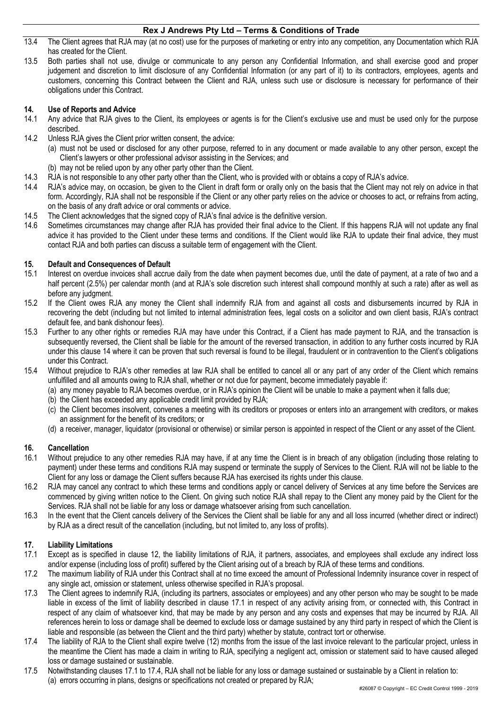- 13.4 The Client agrees that RJA may (at no cost) use for the purposes of marketing or entry into any competition, any Documentation which RJA has created for the Client.
- 13.5 Both parties shall not use, divulge or communicate to any person any Confidential Information, and shall exercise good and proper judgement and discretion to limit disclosure of any Confidential Information (or any part of it) to its contractors, employees, agents and customers, concerning this Contract between the Client and RJA, unless such use or disclosure is necessary for performance of their obligations under this Contract.

# **14. Use of Reports and Advice**

- 14.1 Any advice that RJA gives to the Client, its employees or agents is for the Client's exclusive use and must be used only for the purpose described.
- 14.2 Unless RJA gives the Client prior written consent, the advice:
	- (a) must not be used or disclosed for any other purpose, referred to in any document or made available to any other person, except the Client's lawyers or other professional advisor assisting in the Services; and
	- (b) may not be relied upon by any other party other than the Client.
- 14.3 RJA is not responsible to any other party other than the Client, who is provided with or obtains a copy of RJA's advice.
- 14.4 RJA's advice may, on occasion, be given to the Client in draft form or orally only on the basis that the Client may not rely on advice in that form. Accordingly, RJA shall not be responsible if the Client or any other party relies on the advice or chooses to act, or refrains from acting, on the basis of any draft advice or oral comments or advice.
- 14.5 The Client acknowledges that the signed copy of RJA's final advice is the definitive version.
- 14.6 Sometimes circumstances may change after RJA has provided their final advice to the Client. If this happens RJA will not update any final advice it has provided to the Client under these terms and conditions. If the Client would like RJA to update their final advice, they must contact RJA and both parties can discuss a suitable term of engagement with the Client.

# **15. Default and Consequences of Default**

- 15.1 Interest on overdue invoices shall accrue daily from the date when payment becomes due, until the date of payment, at a rate of two and a half percent (2.5%) per calendar month (and at RJA's sole discretion such interest shall compound monthly at such a rate) after as well as before any judgment.
- 15.2 If the Client owes RJA any money the Client shall indemnify RJA from and against all costs and disbursements incurred by RJA in recovering the debt (including but not limited to internal administration fees, legal costs on a solicitor and own client basis, RJA's contract default fee, and bank dishonour fees).
- 15.3 Further to any other rights or remedies RJA may have under this Contract, if a Client has made payment to RJA, and the transaction is subsequently reversed, the Client shall be liable for the amount of the reversed transaction, in addition to any further costs incurred by RJA under this clause 14 where it can be proven that such reversal is found to be illegal, fraudulent or in contravention to the Client's obligations under this Contract.
- 15.4 Without prejudice to RJA's other remedies at law RJA shall be entitled to cancel all or any part of any order of the Client which remains unfulfilled and all amounts owing to RJA shall, whether or not due for payment, become immediately payable if:
	- (a) any money payable to RJA becomes overdue, or in RJA's opinion the Client will be unable to make a payment when it falls due;
	- (b) the Client has exceeded any applicable credit limit provided by RJA;
	- (c) the Client becomes insolvent, convenes a meeting with its creditors or proposes or enters into an arrangement with creditors, or makes an assignment for the benefit of its creditors; or
	- (d) a receiver, manager, liquidator (provisional or otherwise) or similar person is appointed in respect of the Client or any asset of the Client.

# **16. Cancellation**

- 16.1 Without prejudice to any other remedies RJA may have, if at any time the Client is in breach of any obligation (including those relating to payment) under these terms and conditions RJA may suspend or terminate the supply of Services to the Client. RJA will not be liable to the Client for any loss or damage the Client suffers because RJA has exercised its rights under this clause.
- 16.2 RJA may cancel any contract to which these terms and conditions apply or cancel delivery of Services at any time before the Services are commenced by giving written notice to the Client. On giving such notice RJA shall repay to the Client any money paid by the Client for the Services. RJA shall not be liable for any loss or damage whatsoever arising from such cancellation.
- 16.3 In the event that the Client cancels delivery of the Services the Client shall be liable for any and all loss incurred (whether direct or indirect) by RJA as a direct result of the cancellation (including, but not limited to, any loss of profits).

# **17. Liability Limitations**

- 17.1 Except as is specified in clause 12, the liability limitations of RJA, it partners, associates, and employees shall exclude any indirect loss and/or expense (including loss of profit) suffered by the Client arising out of a breach by RJA of these terms and conditions.
- 17.2 The maximum liability of RJA under this Contract shall at no time exceed the amount of Professional Indemnity insurance cover in respect of any single act, omission or statement, unless otherwise specified in RJA's proposal.
- 17.3 The Client agrees to indemnify RJA, (including its partners, associates or employees) and any other person who may be sought to be made liable in excess of the limit of liability described in clause 17.1 in respect of any activity arising from, or connected with, this Contract in respect of any claim of whatsoever kind, that may be made by any person and any costs and expenses that may be incurred by RJA. All references herein to loss or damage shall be deemed to exclude loss or damage sustained by any third party in respect of which the Client is liable and responsible (as between the Client and the third party) whether by statute, contract tort or otherwise.
- 17.4 The liability of RJA to the Client shall expire twelve (12) months from the issue of the last invoice relevant to the particular project, unless in the meantime the Client has made a claim in writing to RJA, specifying a negligent act, omission or statement said to have caused alleged loss or damage sustained or sustainable.
- 17.5 Notwithstanding clauses 17.1 to 17.4, RJA shall not be liable for any loss or damage sustained or sustainable by a Client in relation to: (a) errors occurring in plans, designs or specifications not created or prepared by RJA;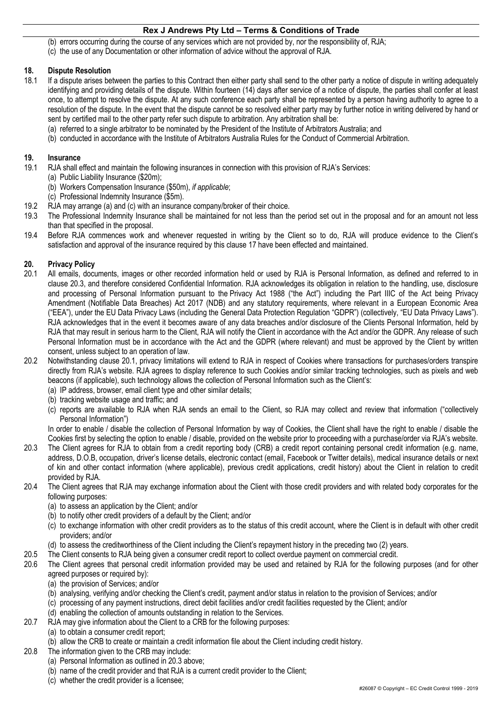- (b) errors occurring during the course of any services which are not provided by, nor the responsibility of, RJA;
- (c) the use of any Documentation or other information of advice without the approval of RJA.

# **18. Dispute Resolution**

- 18.1 If a dispute arises between the parties to this Contract then either party shall send to the other party a notice of dispute in writing adequately identifying and providing details of the dispute. Within fourteen (14) days after service of a notice of dispute, the parties shall confer at least once, to attempt to resolve the dispute. At any such conference each party shall be represented by a person having authority to agree to a resolution of the dispute. In the event that the dispute cannot be so resolved either party may by further notice in writing delivered by hand or sent by certified mail to the other party refer such dispute to arbitration. Any arbitration shall be:
	- (a) referred to a single arbitrator to be nominated by the President of the Institute of Arbitrators Australia; and
	- (b) conducted in accordance with the Institute of Arbitrators Australia Rules for the Conduct of Commercial Arbitration.

#### **19. Insurance**

- 19.1 RJA shall effect and maintain the following insurances in connection with this provision of RJA's Services:
	- (a) Public Liability Insurance (\$20m);
	- (b) Workers Compensation Insurance (\$50m), *if applicable*;
	- (c) Professional Indemnity Insurance (\$5m).
- 19.2 RJA may arrange (a) and (c) with an insurance company/broker of their choice.
- 19.3 The Professional Indemnity Insurance shall be maintained for not less than the period set out in the proposal and for an amount not less than that specified in the proposal.
- 19.4 Before RJA commences work and whenever requested in writing by the Client so to do, RJA will produce evidence to the Client's satisfaction and approval of the insurance required by this clause 17 have been effected and maintained.

#### **20. Privacy Policy**

- 20.1 All emails, documents, images or other recorded information held or used by RJA is Personal Information, as defined and referred to in clause 20.3, and therefore considered Confidential Information. RJA acknowledges its obligation in relation to the handling, use, disclosure and processing of Personal Information pursuant to the Privacy Act 1988 ("the Act") including the Part IIIC of the Act being Privacy Amendment (Notifiable Data Breaches) Act 2017 (NDB) and any statutory requirements, where relevant in a European Economic Area ("EEA"), under the EU Data Privacy Laws (including the General Data Protection Regulation "GDPR") (collectively, "EU Data Privacy Laws"). RJA acknowledges that in the event it becomes aware of any data breaches and/or disclosure of the Clients Personal Information, held by RJA that may result in serious harm to the Client, RJA will notify the Client in accordance with the Act and/or the GDPR. Any release of such Personal Information must be in accordance with the Act and the GDPR (where relevant) and must be approved by the Client by written consent, unless subject to an operation of law.
- 20.2 Notwithstanding clause 20.1, privacy limitations will extend to RJA in respect of Cookies where transactions for purchases/orders transpire directly from RJA's website. RJA agrees to display reference to such Cookies and/or similar tracking technologies, such as pixels and web beacons (if applicable), such technology allows the collection of Personal Information such as the Client's:
	- (a) IP address, browser, email client type and other similar details;
	- (b) tracking website usage and traffic; and
	- (c) reports are available to RJA when RJA sends an email to the Client, so RJA may collect and review that information ("collectively Personal Information")

In order to enable / disable the collection of Personal Information by way of Cookies, the Client shall have the right to enable / disable the Cookies first by selecting the option to enable / disable, provided on the website prior to proceeding with a purchase/order via RJA's website.

- 20.3 The Client agrees for RJA to obtain from a credit reporting body (CRB) a credit report containing personal credit information (e.g. name, address, D.O.B, occupation, driver's license details, electronic contact (email, Facebook or Twitter details), medical insurance details or next of kin and other contact information (where applicable), previous credit applications, credit history) about the Client in relation to credit provided by RJA.
- 20.4 The Client agrees that RJA may exchange information about the Client with those credit providers and with related body corporates for the following purposes:
	- (a) to assess an application by the Client; and/or
	- (b) to notify other credit providers of a default by the Client; and/or
	- (c) to exchange information with other credit providers as to the status of this credit account, where the Client is in default with other credit providers; and/or
	- (d) to assess the creditworthiness of the Client including the Client's repayment history in the preceding two (2) years.
- 20.5 The Client consents to RJA being given a consumer credit report to collect overdue payment on commercial credit.
- 20.6 The Client agrees that personal credit information provided may be used and retained by RJA for the following purposes (and for other agreed purposes or required by):
	- (a) the provision of Services; and/or
	- (b) analysing, verifying and/or checking the Client's credit, payment and/or status in relation to the provision of Services; and/or
	- (c) processing of any payment instructions, direct debit facilities and/or credit facilities requested by the Client; and/or
	- (d) enabling the collection of amounts outstanding in relation to the Services.
- 20.7 RJA may give information about the Client to a CRB for the following purposes:
	- (a) to obtain a consumer credit report;
		- (b) allow the CRB to create or maintain a credit information file about the Client including credit history.
- 20.8 The information given to the CRB may include:
	- (a) Personal Information as outlined in 20.3 above;
	- (b) name of the credit provider and that RJA is a current credit provider to the Client;
	- (c) whether the credit provider is a licensee;